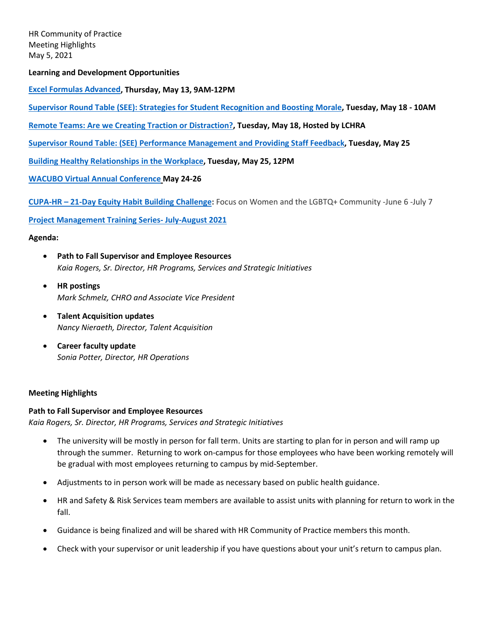HR Community of Practice Meeting Highlights May 5, 2021

**Learning and Development Opportunities**

**[Excel Formulas Advanced,](https://uomytrack.pageuppeople.com/learning/1742) Thursday, May 13, 9AM-12PM**

**[Supervisor Round Table \(SEE\): Strategies for Student Recognition and Boosting Morale,](https://uomytrack.pageuppeople.com/learning/3191) Tuesday, May 18 - 10AM**

**[Remote Teams: Are we Creating Traction or Distraction?,](https://lchra.org/events/20210518) Tuesday, May 18, Hosted by LCHRA** 

**[Supervisor Round Table: \(SEE\) Performance Management and Providing Staff Feedback,](https://uomytrack.pageuppeople.com/learning/3192) Tuesday, May 25**

**[Building Healthy Relationships in the Workplace,](https://uomytrack.pageuppeople.com/learning/2849) Tuesday, May 25, 12PM**

**[WACUBO Virtual Annual Conference](https://wacuboconf.memberclicks.net/schedule-at-a-glance-2021) May 24-26**

**CUPA-HR – [21-Day Equity Habit Building Challenge:](https://urldefense.com/v3/__http:/CUPAHR.informz.net/z/cjUucD9taT05OTk4ODk5JnA9MSZ1PTEwNjgzNDQ3NTEmbGk9ODYyNjU1ODg/index.html__;!!C5qS4YX3!SlNsoPnKd8jk3FcgYlOxldfv9pKiJ6Hy2m1elya5aUHB4EVPtR7S253FzPzkeWYMUg$)** Focus on Women and the LGBTQ+ Community -June 6 -July 7

**[Project Management Training Series-](https://uomytrack.pageuppeople.com/learning/3204) July-August 2021**

### **Agenda:**

- **Path to Fall Supervisor and Employee Resources** *Kaia Rogers, Sr. Director, HR Programs, Services and Strategic Initiatives*
- **HR postings** *Mark Schmelz, CHRO and Associate Vice President*
- **Talent Acquisition updates** *Nancy Nieraeth, Director, Talent Acquisition*
- **Career faculty update** *Sonia Potter, Director, HR Operations*

### **Meeting Highlights**

### **Path to Fall Supervisor and Employee Resources**

*Kaia Rogers, Sr. Director, HR Programs, Services and Strategic Initiatives*

- The university will be mostly in person for fall term. Units are starting to plan for in person and will ramp up through the summer. Returning to work on-campus for those employees who have been working remotely will be gradual with most employees returning to campus by mid-September.
- Adjustments to in person work will be made as necessary based on public health guidance.
- HR and Safety & Risk Services team members are available to assist units with planning for return to work in the fall.
- Guidance is being finalized and will be shared with HR Community of Practice members this month.
- Check with your supervisor or unit leadership if you have questions about your unit's return to campus plan.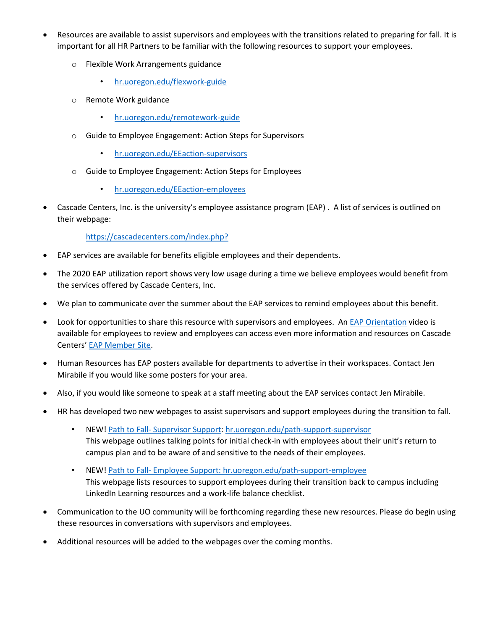- Resources are available to assist supervisors and employees with the transitions related to preparing for fall. It is important for all HR Partners to be familiar with the following resources to support your employees.
	- o Flexible Work Arrangements guidance
		- hr.uoregon.edu/flexwork-guide
	- o Remote Work guidance
		- hr.uoregon.edu/remotework-guide
	- o Guide to Employee Engagement: Action Steps for Supervisors
		- hr.uoregon.edu/EEaction-supervisors
	- o Guide to Employee Engagement: Action Steps for Employees
		- hr.uoregon.edu/EEaction-employees
- Cascade Centers, Inc. is the university's employee assistance program (EAP) . A list of services is outlined on their webpage:

<https://cascadecenters.com/index.php?>

- EAP services are available for benefits eligible employees and their dependents.
- The 2020 EAP utilization report shows very low usage during a time we believe employees would benefit from the services offered by Cascade Centers, Inc.
- We plan to communicate over the summer about the EAP services to remind employees about this benefit.
- Look for opportunities to share this resource with supervisors and employees. An [EAP Orientation](https://7d61d5f0229ef79da989-997ad4822cc9fdca529e1c6428daaf1e.ssl.cf1.rackcdn.com/10000018/cc_orientation/cc_orientation.mp4) video is available for employees to review and employees can access even more information and resources on Cascade Centers[' EAP Member Site.](https://cascadecenters.com/index.php?exturl=197GPcurl17)
- Human Resources has EAP posters available for departments to advertise in their workspaces. Contact Jen Mirabile if you would like some posters for your area.
- Also, if you would like someone to speak at a staff meeting about the EAP services contact Jen Mirabile.
- HR has developed two new webpages to assist supervisors and support employees during the transition to fall.
	- NEW! Path to Fall- Supervisor Support: hr.uoregon.edu/path-support-supervisor This webpage outlines talking points for initial check-in with employees about their unit's return to campus plan and to be aware of and sensitive to the needs of their employees.
	- NEW! Path to Fall- Employee Support: hr.uoregon.edu/path-support-employee This webpage lists resources to support employees during their transition back to campus including LinkedIn Learning resources and a work-life balance checklist.
- Communication to the UO community will be forthcoming regarding these new resources. Please do begin using these resources in conversations with supervisors and employees.
- Additional resources will be added to the webpages over the coming months.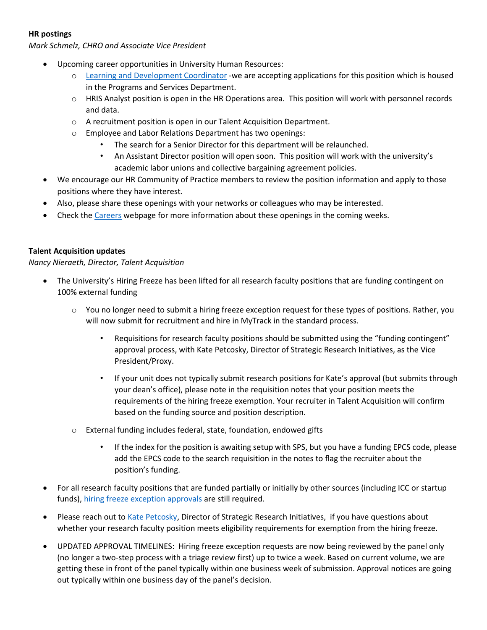# **HR postings**

*Mark Schmelz, CHRO and Associate Vice President*

- Upcoming career opportunities in University Human Resources:
	- o [Learning and Development Coordinator](https://hr.uoregon.edu/jobs) -we are accepting applications for this position which is housed in the Programs and Services Department.
	- $\circ$  HRIS Analyst position is open in the HR Operations area. This position will work with personnel records and data.
	- o A recruitment position is open in our Talent Acquisition Department.
	- o Employee and Labor Relations Department has two openings:
		- The search for a Senior Director for this department will be relaunched.
		- An Assistant Director position will open soon. This position will work with the university's academic labor unions and collective bargaining agreement policies.
- We encourage our HR Community of Practice members to review the position information and apply to those positions where they have interest.
- Also, please share these openings with your networks or colleagues who may be interested.
- Check th[e Careers](https://hr.uoregon.edu/jobs) webpage for more information about these openings in the coming weeks.

### **Talent Acquisition updates**

*Nancy Nieraeth, Director, Talent Acquisition*

- The University's Hiring Freeze has been lifted for all research faculty positions that are funding contingent on 100% external funding
	- o You no longer need to submit a hiring freeze exception request for these types of positions. Rather, you will now submit for recruitment and hire in MyTrack in the standard process.
		- Requisitions for research faculty positions should be submitted using the "funding contingent" approval process, with Kate Petcosky, Director of Strategic Research Initiatives, as the Vice President/Proxy.
		- If your unit does not typically submit research positions for Kate's approval (but submits through your dean's office), please note in the requisition notes that your position meets the requirements of the hiring freeze exemption. Your recruiter in Talent Acquisition will confirm based on the funding source and position description.
	- o External funding includes federal, state, foundation, endowed gifts
		- If the index for the position is awaiting setup with SPS, but you have a funding EPCS code, please add the EPCS code to the search requisition in the notes to flag the recruiter about the position's funding.
- For all research faculty positions that are funded partially or initially by other sources (including ICC or startup funds), [hiring freeze exception approvals](https://urldefense.com/v3/__https:/app.smartsheet.com/b/form/0f71bf54ad68494ea35e9bdc524ff1ed__;!!C5qS4YX3!U2R3M9rwtktHZ3rtWoLHo2Ny-Pbj1uGKHI2KP25KHwOzMFWDQIHu9O1h08wzir4A$) are still required.
- Please reach out to [Kate Petcosky,](mailto:kpetcos2@uoregon.edu) Director of Strategic Research Initiatives, if you have questions about whether your research faculty position meets eligibility requirements for exemption from the hiring freeze.
- UPDATED APPROVAL TIMELINES: Hiring freeze exception requests are now being reviewed by the panel only (no longer a two-step process with a triage review first) up to twice a week. Based on current volume, we are getting these in front of the panel typically within one business week of submission. Approval notices are going out typically within one business day of the panel's decision.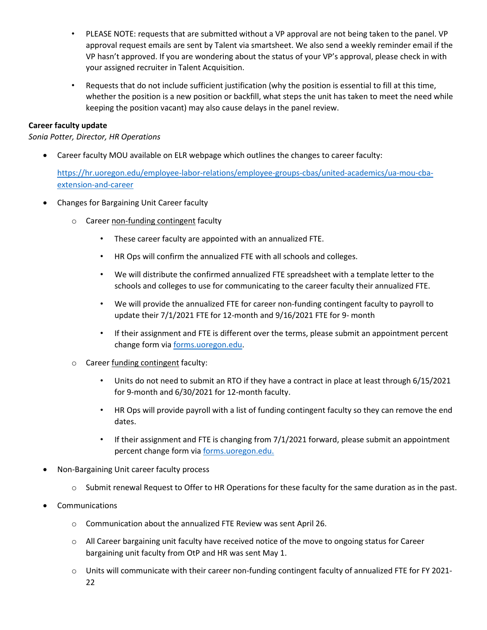- PLEASE NOTE: requests that are submitted without a VP approval are not being taken to the panel. VP approval request emails are sent by Talent via smartsheet. We also send a weekly reminder email if the VP hasn't approved. If you are wondering about the status of your VP's approval, please check in with your assigned recruiter in Talent Acquisition.
- Requests that do not include sufficient justification (why the position is essential to fill at this time, whether the position is a new position or backfill, what steps the unit has taken to meet the need while keeping the position vacant) may also cause delays in the panel review.

## **Career faculty update**

*Sonia Potter, Director, HR Operations*

• Career faculty MOU available on ELR webpage which outlines the changes to career faculty:

[https://hr.uoregon.edu/employee-labor-relations/employee-groups-cbas/united-academics/ua-mou-cba](https://hr.uoregon.edu/employee-labor-relations/employee-groups-cbas/united-academics/ua-mou-cba-extension-and-career)[extension-and-career](https://hr.uoregon.edu/employee-labor-relations/employee-groups-cbas/united-academics/ua-mou-cba-extension-and-career)

- Changes for Bargaining Unit Career faculty
	- o Career non-funding contingent faculty
		- These career faculty are appointed with an annualized FTE.
		- HR Ops will confirm the annualized FTE with all schools and colleges.
		- We will distribute the confirmed annualized FTE spreadsheet with a template letter to the schools and colleges to use for communicating to the career faculty their annualized FTE.
		- We will provide the annualized FTE for career non-funding contingent faculty to payroll to update their 7/1/2021 FTE for 12-month and 9/16/2021 FTE for 9- month
		- If their assignment and FTE is different over the terms, please submit an appointment percent change form via [forms.uoregon.edu.](https://forms.uoregon.edu/forms/list/Human%20Resources)
	- o Career funding contingent faculty:
		- Units do not need to submit an RTO if they have a contract in place at least through 6/15/2021 for 9-month and 6/30/2021 for 12-month faculty.
		- HR Ops will provide payroll with a list of funding contingent faculty so they can remove the end dates.
		- If their assignment and FTE is changing from 7/1/2021 forward, please submit an appointment percent change form via [forms.uoregon.edu.](https://forms.uoregon.edu/forms/list/Human%20Resources)
- Non-Bargaining Unit career faculty process
	- o Submit renewal Request to Offer to HR Operations for these faculty for the same duration as in the past.
- **Communications** 
	- o Communication about the annualized FTE Review was sent April 26.
	- $\circ$  All Career bargaining unit faculty have received notice of the move to ongoing status for Career bargaining unit faculty from OtP and HR was sent May 1.
	- $\circ$  Units will communicate with their career non-funding contingent faculty of annualized FTE for FY 2021-22